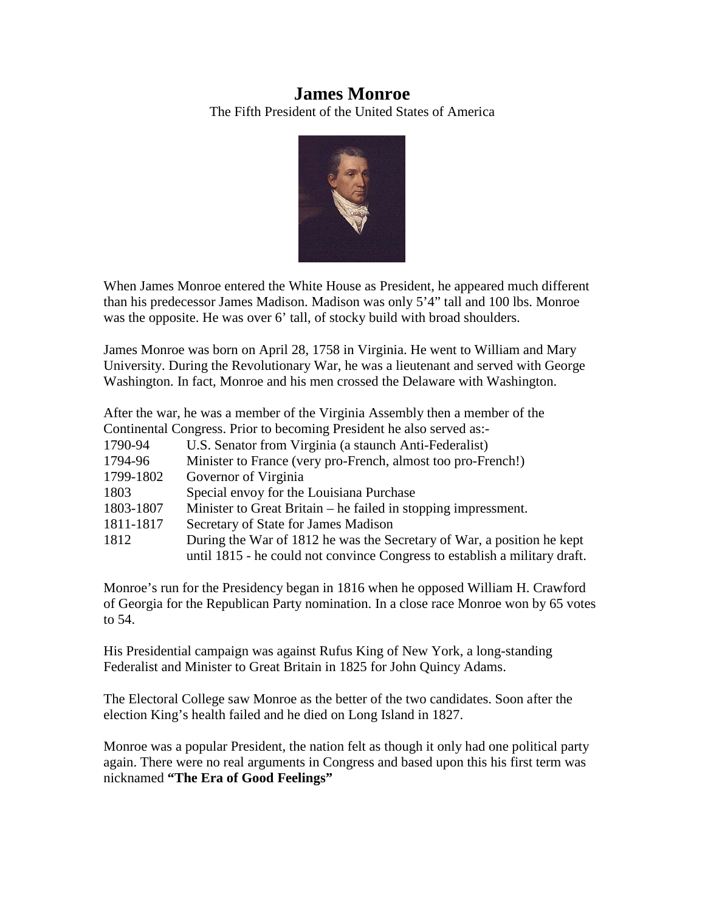# **James Monroe**

The Fifth President of the United States of America



When James Monroe entered the White House as President, he appeared much different than his predecessor James Madison. Madison was only 5'4" tall and 100 lbs. Monroe was the opposite. He was over 6' tall, of stocky build with broad shoulders.

James Monroe was born on April 28, 1758 in Virginia. He went to William and Mary University. During the Revolutionary War, he was a lieutenant and served with George Washington. In fact, Monroe and his men crossed the Delaware with Washington.

After the war, he was a member of the Virginia Assembly then a member of the Continental Congress. Prior to becoming President he also served as:-

| 1790-94   | U.S. Senator from Virginia (a staunch Anti-Federalist)                     |
|-----------|----------------------------------------------------------------------------|
| 1794-96   | Minister to France (very pro-French, almost too pro-French!)               |
| 1799-1802 | Governor of Virginia                                                       |
| 1803      | Special envoy for the Louisiana Purchase                                   |
| 1803-1807 | Minister to Great Britain – he failed in stopping impressment.             |
| 1811-1817 | Secretary of State for James Madison                                       |
| 1812      | During the War of 1812 he was the Secretary of War, a position he kept     |
|           | until 1815 - he could not convince Congress to establish a military draft. |

Monroe's run for the Presidency began in 1816 when he opposed William H. Crawford of Georgia for the Republican Party nomination. In a close race Monroe won by 65 votes to 54.

His Presidential campaign was against Rufus King of New York, a long-standing Federalist and Minister to Great Britain in 1825 for John Quincy Adams.

The Electoral College saw Monroe as the better of the two candidates. Soon after the election King's health failed and he died on Long Island in 1827.

Monroe was a popular President, the nation felt as though it only had one political party again. There were no real arguments in Congress and based upon this his first term was nicknamed **"The Era of Good Feelings"**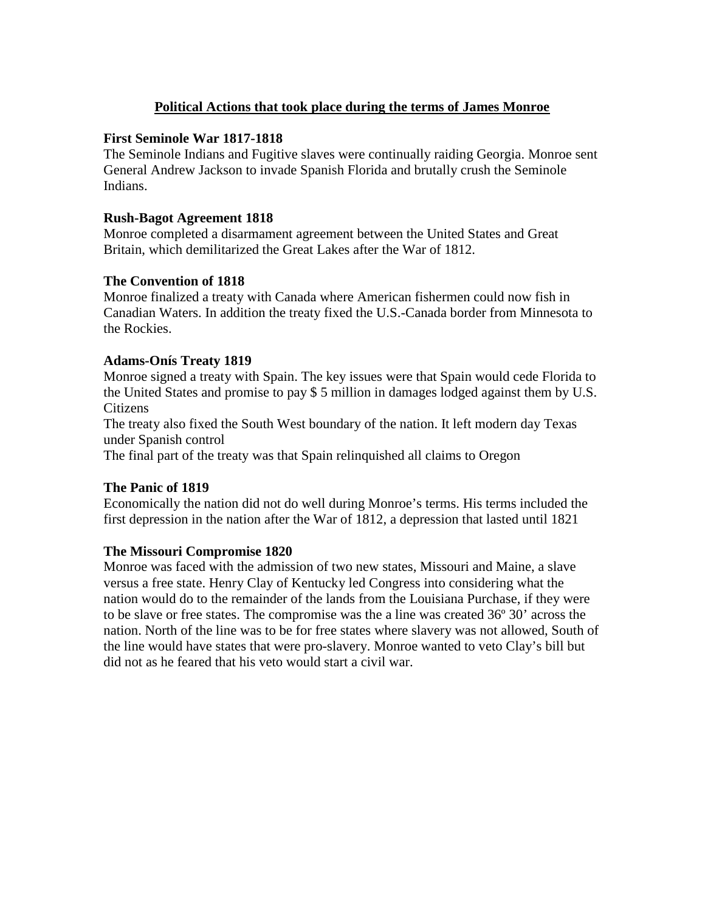# **Political Actions that took place during the terms of James Monroe**

#### **First Seminole War 1817-1818**

The Seminole Indians and Fugitive slaves were continually raiding Georgia. Monroe sent General Andrew Jackson to invade Spanish Florida and brutally crush the Seminole Indians.

#### **Rush-Bagot Agreement 1818**

Monroe completed a disarmament agreement between the United States and Great Britain, which demilitarized the Great Lakes after the War of 1812.

# **The Convention of 1818**

Monroe finalized a treaty with Canada where American fishermen could now fish in Canadian Waters. In addition the treaty fixed the U.S.-Canada border from Minnesota to the Rockies.

#### **Adams-Onís Treaty 1819**

Monroe signed a treaty with Spain. The key issues were that Spain would cede Florida to the United States and promise to pay \$ 5 million in damages lodged against them by U.S. Citizens

The treaty also fixed the South West boundary of the nation. It left modern day Texas under Spanish control

The final part of the treaty was that Spain relinquished all claims to Oregon

# **The Panic of 1819**

Economically the nation did not do well during Monroe's terms. His terms included the first depression in the nation after the War of 1812, a depression that lasted until 1821

# **The Missouri Compromise 1820**

Monroe was faced with the admission of two new states, Missouri and Maine, a slave versus a free state. Henry Clay of Kentucky led Congress into considering what the nation would do to the remainder of the lands from the Louisiana Purchase, if they were to be slave or free states. The compromise was the a line was created 36º 30' across the nation. North of the line was to be for free states where slavery was not allowed, South of the line would have states that were pro-slavery. Monroe wanted to veto Clay's bill but did not as he feared that his veto would start a civil war.